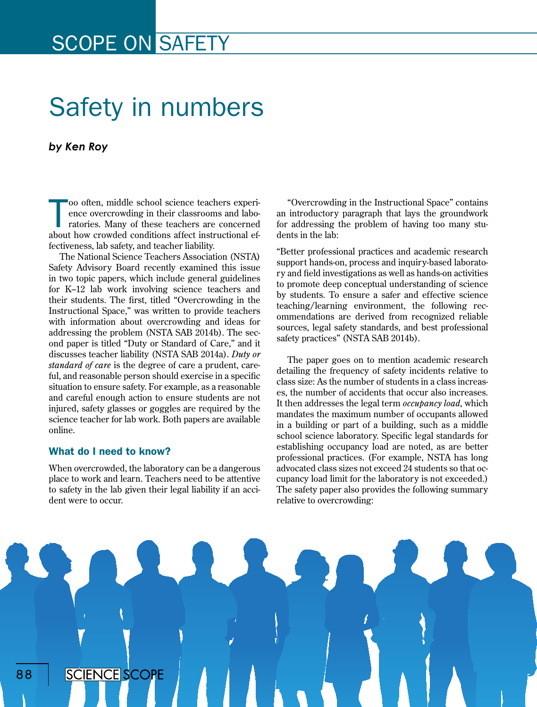## SCOPE ON SAFETY

# Safety in numbers

#### *by Ken Roy*

oo often, middle school science teachers experience overcrowding in their classrooms and laboratories. Many of these teachers are concerned about how crowded conditions affect instructional efoo often, middle school science teachers experience overcrowding in their classrooms and laboratories. Many of these teachers are concerned fectiveness, lab safety, and teacher liability.

The National Science Teachers Association (NSTA) Safety Advisory Board recently examined this issue in two topic papers, which include general guidelines for K–12 lab work involving science teachers and their students. The first, titled "Overcrowding in the Instructional Space," was written to provide teachers with information about overcrowding and ideas for addressing the problem (NSTA SAB 2014b). The second paper is titled "Duty or Standard of Care," and it discusses teacher liability (NSTA SAB 2014a). *Duty or standard of care* is the degree of care a prudent, careful, and reasonable person should exercise in a specific situation to ensure safety. For example, as a reasonable and careful enough action to ensure students are not injured, safety glasses or goggles are required by the science teacher for lab work. Both papers are available online.

#### What do I need to know?

When overcrowded, the laboratory can be a dangerous place to work and learn. Teachers need to be attentive to safety in the lab given their legal liability if an accident were to occur.

"Overcrowding in the Instructional Space" contains an introductory paragraph that lays the groundwork for addressing the problem of having too many students in the lab:

"Better professional practices and academic research support hands-on, process and inquiry-based laboratory and field investigations as well as hands-on activities to promote deep conceptual understanding of science by students. To ensure a safer and effective science teaching/learning environment, the following recommendations are derived from recognized reliable sources, legal safety standards, and best professional safety practices" (NSTA SAB 2014b).

The paper goes on to mention academic research detailing the frequency of safety incidents relative to class size: As the number of students in a class increases, the number of accidents that occur also increases. It then addresses the legal term *occupancy load*, which mandates the maximum number of occupants allowed in a building or part of a building, such as a middle school science laboratory. Specific legal standards for establishing occupancy load are noted, as are better professional practices. (For example, NSTA has long advocated class sizes not exceed 24 students so that occupancy load limit for the laboratory is not exceeded.) The safety paper also provides the following summary relative to overcrowding:

**SCIENCE SCOPE** 88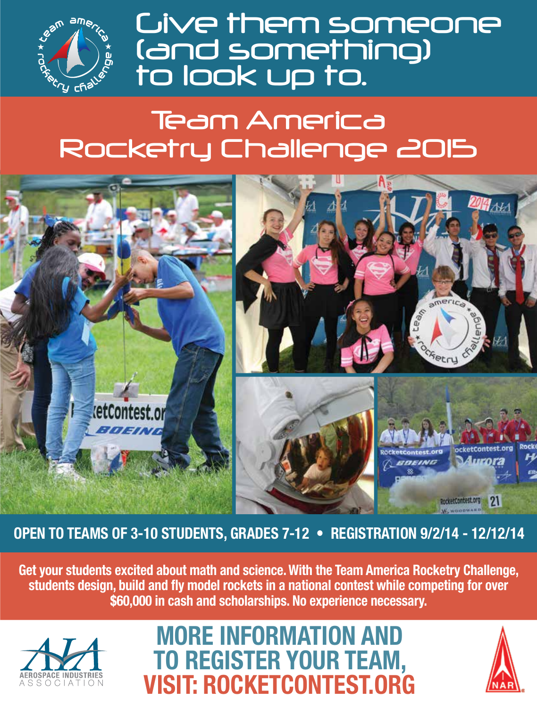

**Cive them someone** (and something)<br>to look up to.

# **Team America** Rocketry Challenge 2015



OPEN TO TEAMS OF 3-10 STUDENTS, GRADES 7-12 . REGISTRATION 9/2/14 - 12/12/14

Get your students excited about math and science. With the Team America Rocketry Challenge, students design, build and fly model rockets in a national contest while competing for over \$60,000 in cash and scholarships. No experience necessary.



## **MORE INFORMATION AND TO REGISTER YOUR TEAM, VISIT: ROCKETCONTEST.ORG**

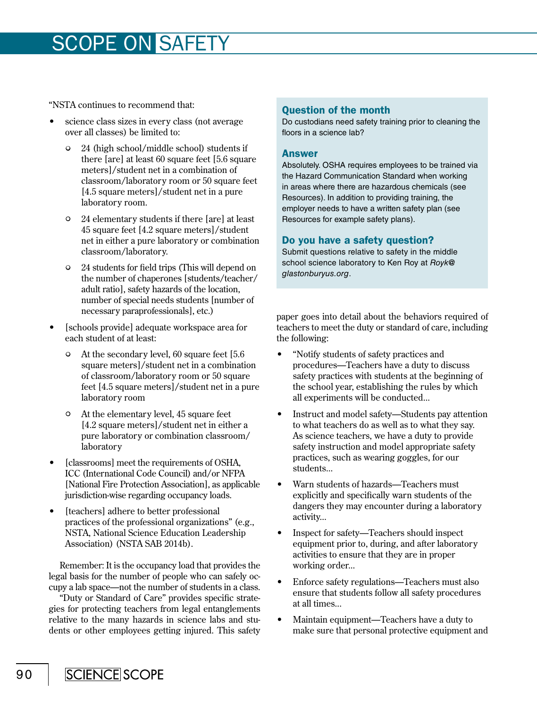### SCOPE ON SAFETY

"NSTA continues to recommend that:

- science class sizes in every class (not average over all classes) be limited to:
	- 24 (high school/middle school) students if there [are] at least 60 square feet [5.6 square meters]/student net in a combination of classroom/laboratory room or 50 square feet [4.5 square meters]/student net in a pure laboratory room.
	- 24 elementary students if there [are] at least 45 square feet [4.2 square meters]/student net in either a pure laboratory or combination classroom/laboratory.
	- 24 students for field trips (This will depend on the number of chaperones [students/teacher/ adult ratio], safety hazards of the location, number of special needs students [number of necessary paraprofessionals], etc.)
- [schools provide] adequate workspace area for each student of at least:
	- At the secondary level, 60 square feet [5.6 square meters]/student net in a combination of classroom/laboratory room or 50 square feet [4.5 square meters]/student net in a pure laboratory room
	- At the elementary level, 45 square feet [4.2 square meters]/student net in either a pure laboratory or combination classroom/ laboratory
- [classrooms] meet the requirements of OSHA, ICC (International Code Council) and/or NFPA [National Fire Protection Association], as applicable jurisdiction-wise regarding occupancy loads.
- [teachers] adhere to better professional practices of the professional organizations" (e.g., NSTA, National Science Education Leadership Association) (NSTA SAB 2014b).

Remember: It is the occupancy load that provides the legal basis for the number of people who can safely occupy a lab space—not the number of students in a class.

"Duty or Standard of Care" provides specific strategies for protecting teachers from legal entanglements relative to the many hazards in science labs and students or other employees getting injured. This safety

#### Question of the month

Do custodians need safety training prior to cleaning the floors in a science lab?

#### Answer

Absolutely. OSHA requires employees to be trained via the Hazard Communication Standard when working in areas where there are hazardous chemicals (see Resources). In addition to providing training, the employer needs to have a written safety plan (see Resources for example safety plans).

#### Do you have a safety question?

Submit questions relative to safety in the middle school science laboratory to Ken Roy at *Royk@ glastonburyus.org*.

paper goes into detail about the behaviors required of teachers to meet the duty or standard of care, including the following:

- "Notify students of safety practices and procedures—Teachers have a duty to discuss safety practices with students at the beginning of the school year, establishing the rules by which all experiments will be conducted...
- Instruct and model safety—Students pay attention to what teachers do as well as to what they say. As science teachers, we have a duty to provide safety instruction and model appropriate safety practices, such as wearing goggles, for our students...
- Warn students of hazards—Teachers must explicitly and specifically warn students of the dangers they may encounter during a laboratory activity...
- Inspect for safety—Teachers should inspect equipment prior to, during, and after laboratory activities to ensure that they are in proper working order...
- Enforce safety regulations—Teachers must also ensure that students follow all safety procedures at all times...
- Maintain equipment—Teachers have a duty to make sure that personal protective equipment and